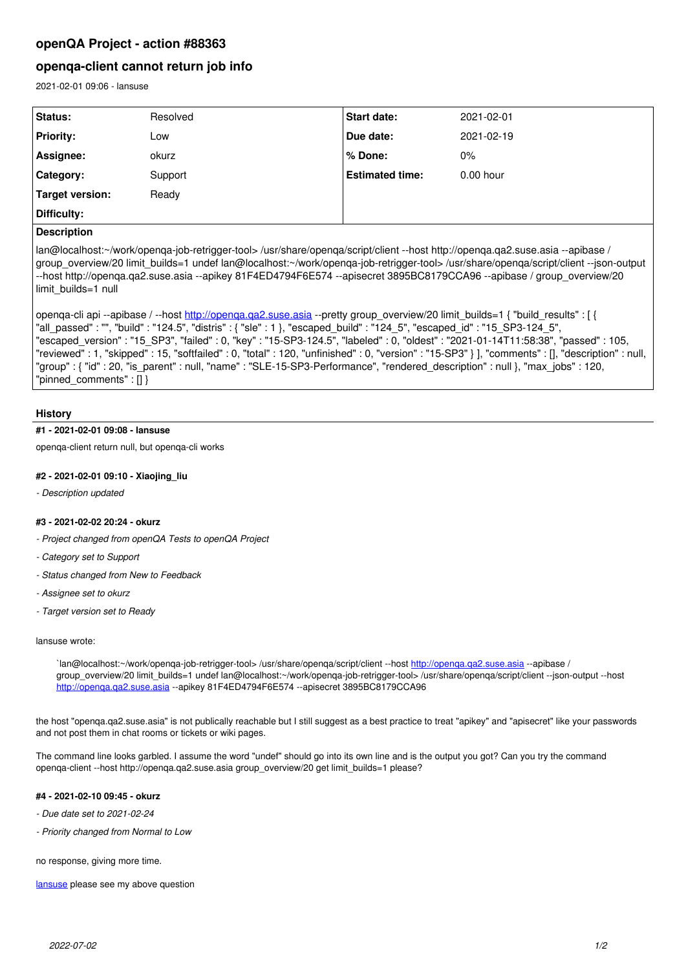# **openQA Project - action #88363**

# **openqa-client cannot return job info**

2021-02-01 09:06 - lansuse

| Status:          | Resolved | <b>Start date:</b>     | 2021-02-01  |
|------------------|----------|------------------------|-------------|
| <b>Priority:</b> | Low      | Due date:              | 2021-02-19  |
| Assignee:        | okurz    | % Done:                | 0%          |
| Category:        | Support  | <b>Estimated time:</b> | $0.00$ hour |
| Target version:  | Ready    |                        |             |
| Difficulty:      |          |                        |             |

# **Description**

lan@localhost:~/work/openqa-job-retrigger-tool> /usr/share/openqa/script/client --host http://openqa.qa2.suse.asia --apibase / group\_overview/20 limit\_builds=1 undef lan@localhost:~/work/openqa-job-retrigger-tool> /usr/share/openqa/script/client --json-output --host http://openqa.qa2.suse.asia --apikey 81F4ED4794F6E574 --apisecret 3895BC8179CCA96 --apibase / group\_overview/20 limit\_builds=1 null

openqa-cli api --apibase / --host<http://openqa.qa2.suse.asia>--pretty group\_overview/20 limit\_builds=1 { "build\_results" : [ { "all\_passed" : "", "build" : "124.5", "distris" : { "sle" : 1 }, "escaped\_build" : "124\_5", "escaped\_id" : "15\_SP3-124\_5", "escaped\_version" : "15\_SP3", "failed" : 0, "key" : "15-SP3-124.5", "labeled" : 0, "oldest" : "2021-01-14T11:58:38", "passed" : 105, "reviewed" : 1, "skipped" : 15, "softfailed" : 0, "total" : 120, "unfinished" : 0, "version" : "15-SP3" } ], "comments" : [], "description" : null, "group" : { "id" : 20, "is\_parent" : null, "name" : "SLE-15-SP3-Performance", "rendered\_description" : null }, "max\_jobs" : 120, "pinned\_comments" : [] }

#### **History**

#### **#1 - 2021-02-01 09:08 - lansuse**

openqa-client return null, but openqa-cli works

#### **#2 - 2021-02-01 09:10 - Xiaojing\_liu**

*- Description updated*

### **#3 - 2021-02-02 20:24 - okurz**

- *Project changed from openQA Tests to openQA Project*
- *Category set to Support*
- *Status changed from New to Feedback*
- *Assignee set to okurz*
- *Target version set to Ready*

#### lansuse wrote:

`lan@localhost:~/work/openqa-job-retrigger-tool> /usr/share/openqa/script/client --host <http://openqa.qa2.suse.asia> --apibase / group\_overview/20 limit\_builds=1 undef lan@localhost:~/work/openqa-job-retrigger-tool> /usr/share/openqa/script/client --json-output --host <http://openqa.qa2.suse.asia> --apikey 81F4ED4794F6E574 --apisecret 3895BC8179CCA96

the host "openqa.qa2.suse.asia" is not publically reachable but I still suggest as a best practice to treat "apikey" and "apisecret" like your passwords and not post them in chat rooms or tickets or wiki pages.

The command line looks garbled. I assume the word "undef" should go into its own line and is the output you got? Can you try the command openqa-client --host http://openqa.qa2.suse.asia group\_overview/20 get limit\_builds=1 please?

### **#4 - 2021-02-10 09:45 - okurz**

- *Due date set to 2021-02-24*
- *Priority changed from Normal to Low*

no response, giving more time.

[lansuse](progress.opensuse.org/users/31700) please see my above question